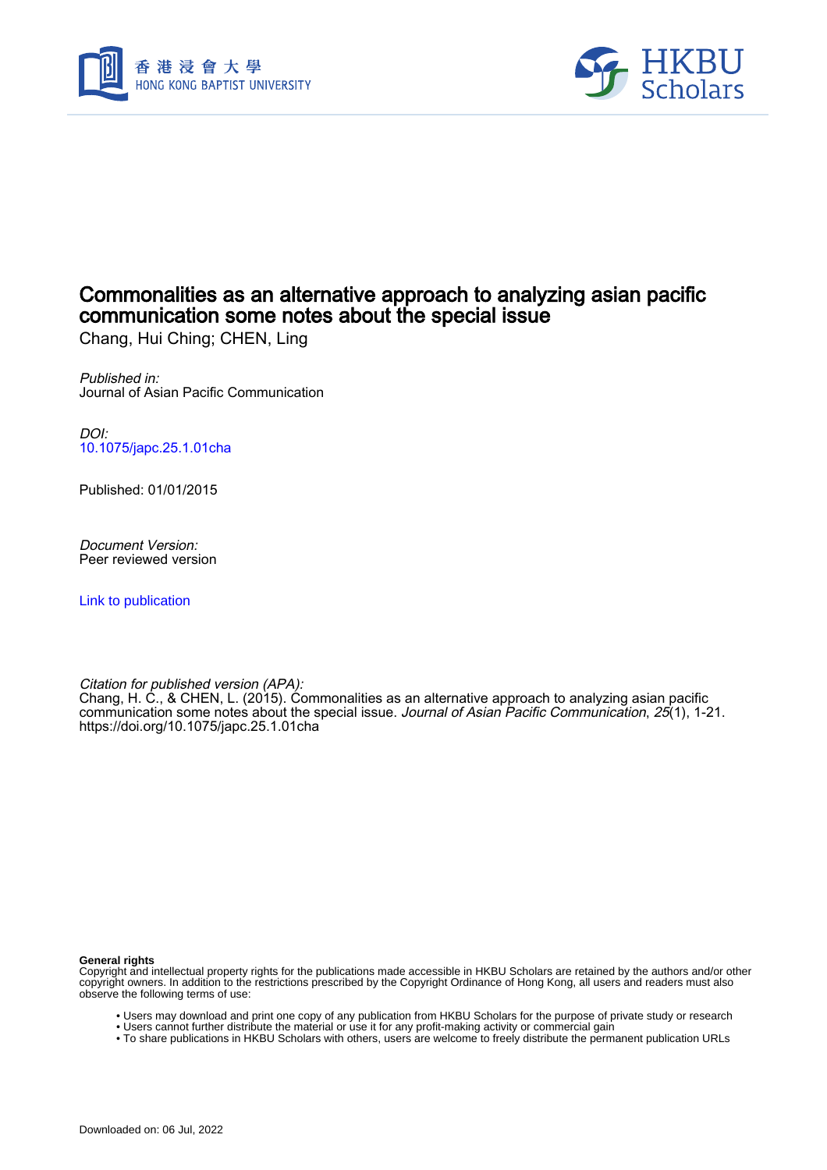



# Commonalities as an alternative approach to analyzing asian pacific communication some notes about the special issue

Chang, Hui Ching; CHEN, Ling

Published in: Journal of Asian Pacific Communication

DOI: [10.1075/japc.25.1.01cha](https://doi.org/10.1075/japc.25.1.01cha)

Published: 01/01/2015

Document Version: Peer reviewed version

[Link to publication](https://scholars.hkbu.edu.hk/en/publications/6c71c38d-72a9-477d-8be4-741fd96b296e)

Citation for published version (APA):

Chang, H. C., & CHEN, L. (2015). Commonalities as an alternative approach to analyzing asian pacific communication some notes about the special issue. *Journal of Asian Pacific Communication, 25*(1), 1-21. <https://doi.org/10.1075/japc.25.1.01cha>

**General rights**

Copyright and intellectual property rights for the publications made accessible in HKBU Scholars are retained by the authors and/or other copyright owners. In addition to the restrictions prescribed by the Copyright Ordinance of Hong Kong, all users and readers must also observe the following terms of use:

- Users may download and print one copy of any publication from HKBU Scholars for the purpose of private study or research
- Users cannot further distribute the material or use it for any profit-making activity or commercial gain
- To share publications in HKBU Scholars with others, users are welcome to freely distribute the permanent publication URLs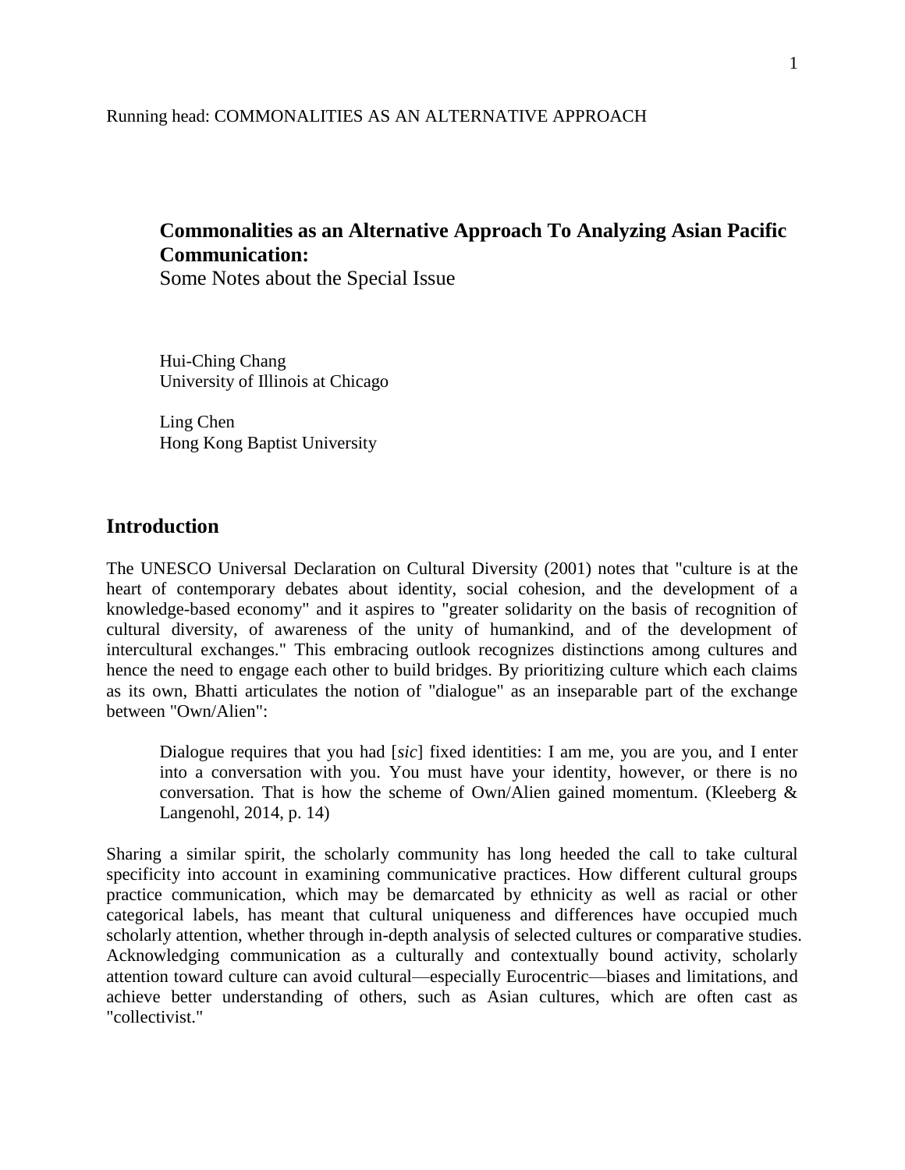#### Running head: COMMONALITIES AS AN ALTERNATIVE APPROACH

## **Commonalities as an Alternative Approach To Analyzing Asian Pacific Communication:**

Some Notes about the Special Issue

Hui-Ching Chang University of Illinois at Chicago

Ling Chen Hong Kong Baptist University

## **Introduction**

The UNESCO Universal Declaration on Cultural Diversity (2001) notes that "culture is at the heart of contemporary debates about identity, social cohesion, and the development of a knowledge-based economy" and it aspires to "greater solidarity on the basis of recognition of cultural diversity, of awareness of the unity of humankind, and of the development of intercultural exchanges." This embracing outlook recognizes distinctions among cultures and hence the need to engage each other to build bridges. By prioritizing culture which each claims as its own, Bhatti articulates the notion of "dialogue" as an inseparable part of the exchange between "Own/Alien":

Dialogue requires that you had [*sic*] fixed identities: I am me, you are you, and I enter into a conversation with you. You must have your identity, however, or there is no conversation. That is how the scheme of Own/Alien gained momentum. (Kleeberg & Langenohl, 2014, p. 14)

Sharing a similar spirit, the scholarly community has long heeded the call to take cultural specificity into account in examining communicative practices. How different cultural groups practice communication, which may be demarcated by ethnicity as well as racial or other categorical labels, has meant that cultural uniqueness and differences have occupied much scholarly attention, whether through in-depth analysis of selected cultures or comparative studies. Acknowledging communication as a culturally and contextually bound activity, scholarly attention toward culture can avoid cultural—especially Eurocentric—biases and limitations, and achieve better understanding of others, such as Asian cultures, which are often cast as "collectivist."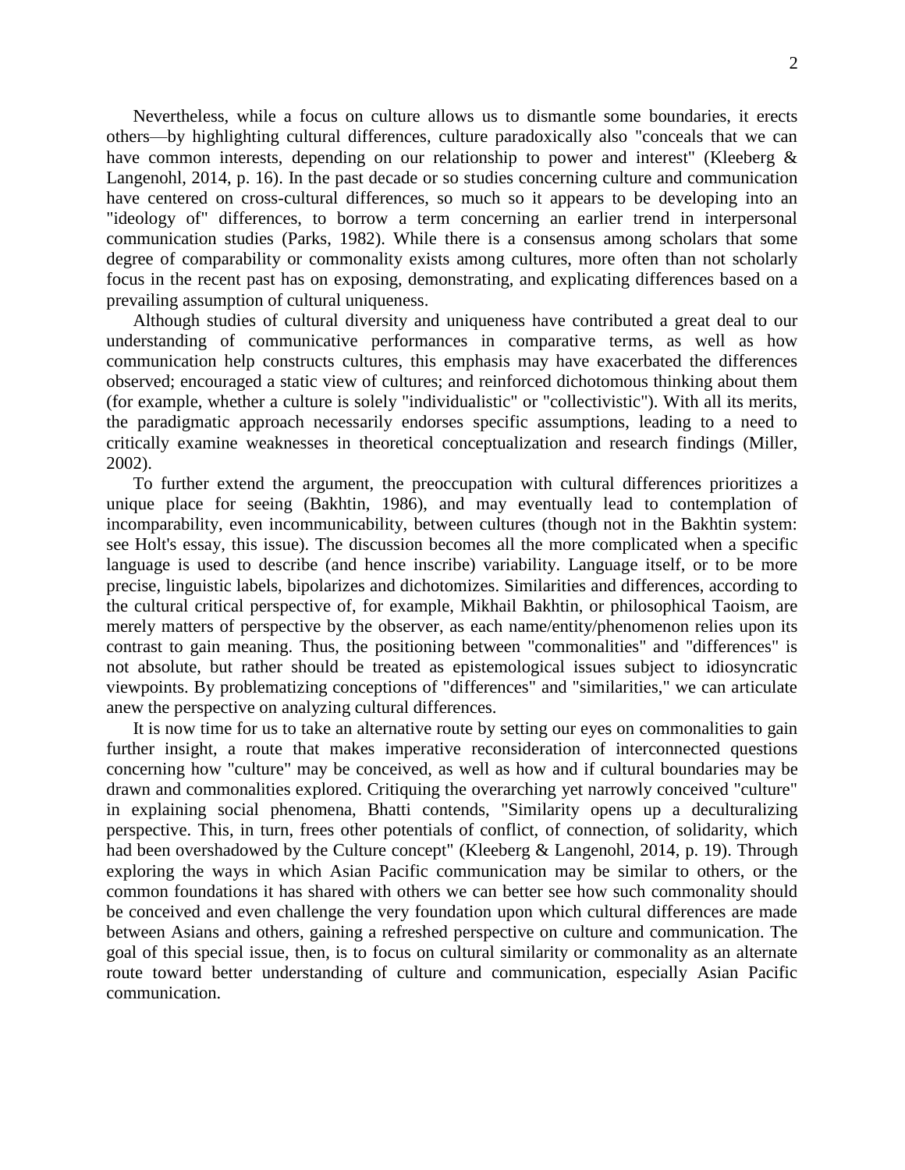Nevertheless, while a focus on culture allows us to dismantle some boundaries, it erects others—by highlighting cultural differences, culture paradoxically also "conceals that we can have common interests, depending on our relationship to power and interest" (Kleeberg & Langenohl, 2014, p. 16). In the past decade or so studies concerning culture and communication have centered on cross-cultural differences, so much so it appears to be developing into an "ideology of" differences, to borrow a term concerning an earlier trend in interpersonal communication studies (Parks, 1982). While there is a consensus among scholars that some degree of comparability or commonality exists among cultures, more often than not scholarly focus in the recent past has on exposing, demonstrating, and explicating differences based on a prevailing assumption of cultural uniqueness.

Although studies of cultural diversity and uniqueness have contributed a great deal to our understanding of communicative performances in comparative terms, as well as how communication help constructs cultures, this emphasis may have exacerbated the differences observed; encouraged a static view of cultures; and reinforced dichotomous thinking about them (for example, whether a culture is solely "individualistic" or "collectivistic"). With all its merits, the paradigmatic approach necessarily endorses specific assumptions, leading to a need to critically examine weaknesses in theoretical conceptualization and research findings (Miller, 2002).

To further extend the argument, the preoccupation with cultural differences prioritizes a unique place for seeing (Bakhtin, 1986), and may eventually lead to contemplation of incomparability, even incommunicability, between cultures (though not in the Bakhtin system: see Holt's essay, this issue). The discussion becomes all the more complicated when a specific language is used to describe (and hence inscribe) variability. Language itself, or to be more precise, linguistic labels, bipolarizes and dichotomizes. Similarities and differences, according to the cultural critical perspective of, for example, Mikhail Bakhtin, or philosophical Taoism, are merely matters of perspective by the observer, as each name/entity/phenomenon relies upon its contrast to gain meaning. Thus, the positioning between "commonalities" and "differences" is not absolute, but rather should be treated as epistemological issues subject to idiosyncratic viewpoints. By problematizing conceptions of "differences" and "similarities," we can articulate anew the perspective on analyzing cultural differences.

It is now time for us to take an alternative route by setting our eyes on commonalities to gain further insight, a route that makes imperative reconsideration of interconnected questions concerning how "culture" may be conceived, as well as how and if cultural boundaries may be drawn and commonalities explored. Critiquing the overarching yet narrowly conceived "culture" in explaining social phenomena, Bhatti contends, "Similarity opens up a deculturalizing perspective. This, in turn, frees other potentials of conflict, of connection, of solidarity, which had been overshadowed by the Culture concept" (Kleeberg & Langenohl, 2014, p. 19). Through exploring the ways in which Asian Pacific communication may be similar to others, or the common foundations it has shared with others we can better see how such commonality should be conceived and even challenge the very foundation upon which cultural differences are made between Asians and others, gaining a refreshed perspective on culture and communication. The goal of this special issue, then, is to focus on cultural similarity or commonality as an alternate route toward better understanding of culture and communication, especially Asian Pacific communication.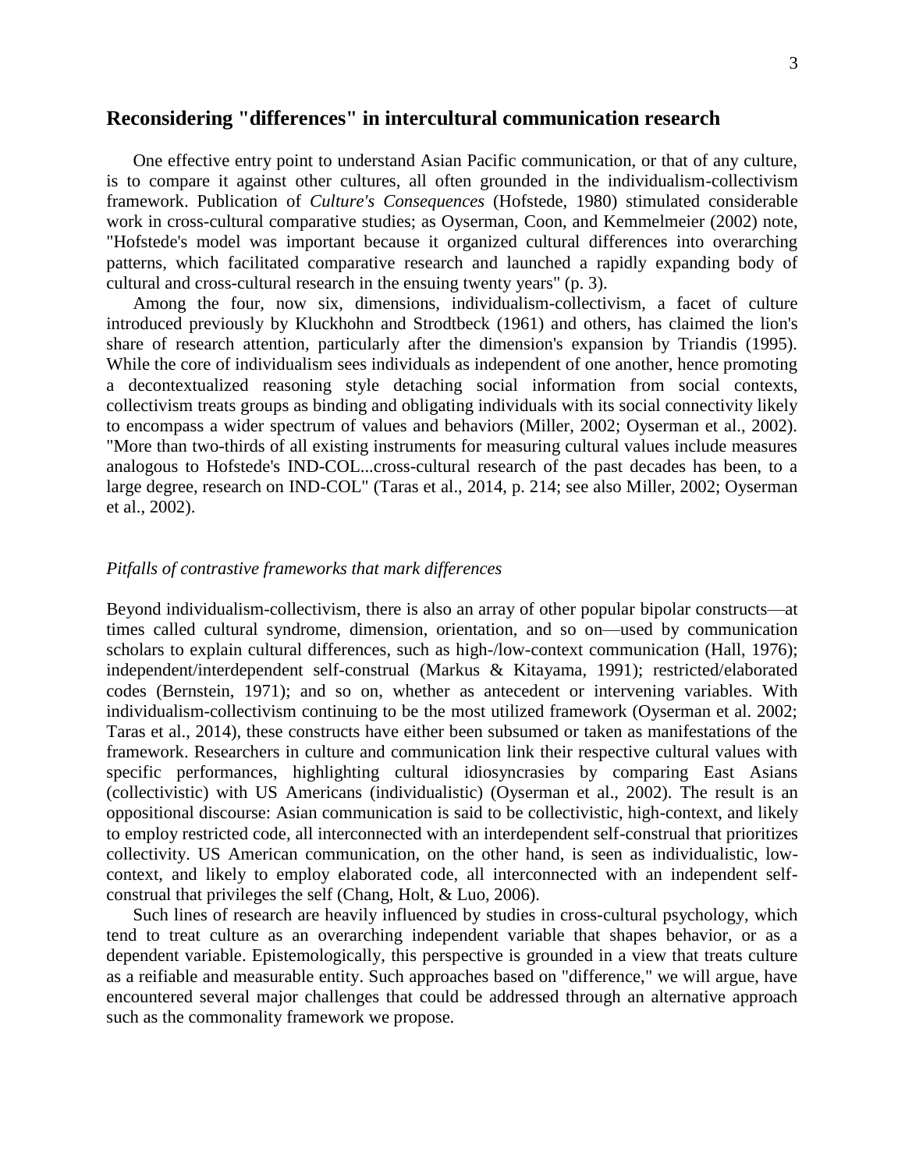## **Reconsidering "differences" in intercultural communication research**

One effective entry point to understand Asian Pacific communication, or that of any culture, is to compare it against other cultures, all often grounded in the individualism-collectivism framework. Publication of *Culture's Consequences* (Hofstede, 1980) stimulated considerable work in cross-cultural comparative studies; as Oyserman, Coon, and Kemmelmeier (2002) note, "Hofstede's model was important because it organized cultural differences into overarching patterns, which facilitated comparative research and launched a rapidly expanding body of cultural and cross-cultural research in the ensuing twenty years" (p. 3).

Among the four, now six, dimensions, individualism-collectivism, a facet of culture introduced previously by Kluckhohn and Strodtbeck (1961) and others, has claimed the lion's share of research attention, particularly after the dimension's expansion by Triandis (1995). While the core of individualism sees individuals as independent of one another, hence promoting a decontextualized reasoning style detaching social information from social contexts, collectivism treats groups as binding and obligating individuals with its social connectivity likely to encompass a wider spectrum of values and behaviors (Miller, 2002; Oyserman et al., 2002). "More than two-thirds of all existing instruments for measuring cultural values include measures analogous to Hofstede's IND-COL...cross-cultural research of the past decades has been, to a large degree, research on IND-COL" (Taras et al., 2014, p. 214; see also Miller, 2002; Oyserman et al., 2002).

#### *Pitfalls of contrastive frameworks that mark differences*

Beyond individualism-collectivism, there is also an array of other popular bipolar constructs—at times called cultural syndrome, dimension, orientation, and so on—used by communication scholars to explain cultural differences, such as high-/low-context communication (Hall, 1976); independent/interdependent self-construal (Markus & Kitayama, 1991); restricted/elaborated codes (Bernstein, 1971); and so on, whether as antecedent or intervening variables. With individualism-collectivism continuing to be the most utilized framework (Oyserman et al. 2002; Taras et al., 2014), these constructs have either been subsumed or taken as manifestations of the framework. Researchers in culture and communication link their respective cultural values with specific performances, highlighting cultural idiosyncrasies by comparing East Asians (collectivistic) with US Americans (individualistic) (Oyserman et al., 2002). The result is an oppositional discourse: Asian communication is said to be collectivistic, high-context, and likely to employ restricted code, all interconnected with an interdependent self-construal that prioritizes collectivity. US American communication, on the other hand, is seen as individualistic, lowcontext, and likely to employ elaborated code, all interconnected with an independent selfconstrual that privileges the self (Chang, Holt, & Luo, 2006).

Such lines of research are heavily influenced by studies in cross-cultural psychology, which tend to treat culture as an overarching independent variable that shapes behavior, or as a dependent variable. Epistemologically, this perspective is grounded in a view that treats culture as a reifiable and measurable entity. Such approaches based on "difference," we will argue, have encountered several major challenges that could be addressed through an alternative approach such as the commonality framework we propose.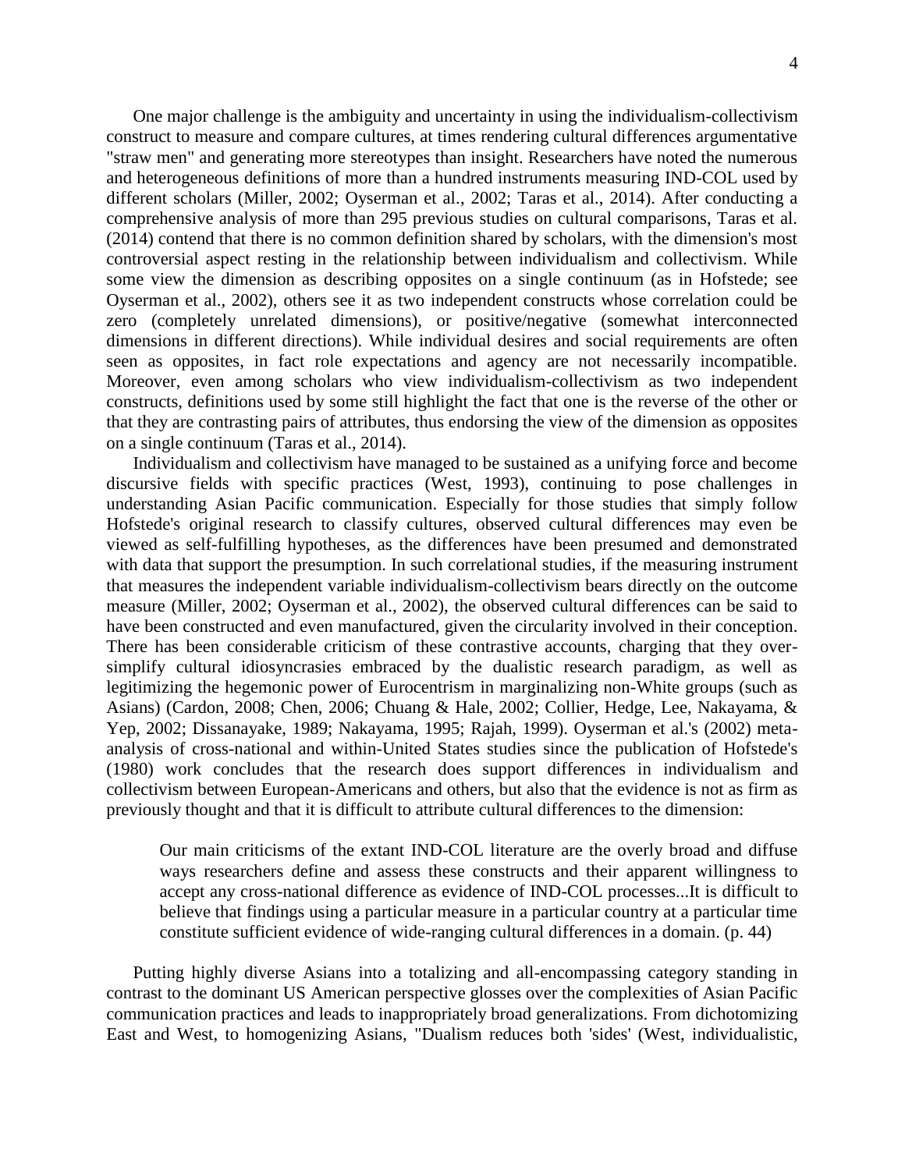One major challenge is the ambiguity and uncertainty in using the individualism-collectivism construct to measure and compare cultures, at times rendering cultural differences argumentative "straw men" and generating more stereotypes than insight. Researchers have noted the numerous and heterogeneous definitions of more than a hundred instruments measuring IND-COL used by different scholars (Miller, 2002; Oyserman et al., 2002; Taras et al., 2014). After conducting a comprehensive analysis of more than 295 previous studies on cultural comparisons, Taras et al. (2014) contend that there is no common definition shared by scholars, with the dimension's most controversial aspect resting in the relationship between individualism and collectivism. While some view the dimension as describing opposites on a single continuum (as in Hofstede; see Oyserman et al., 2002), others see it as two independent constructs whose correlation could be zero (completely unrelated dimensions), or positive/negative (somewhat interconnected dimensions in different directions). While individual desires and social requirements are often seen as opposites, in fact role expectations and agency are not necessarily incompatible. Moreover, even among scholars who view individualism-collectivism as two independent constructs, definitions used by some still highlight the fact that one is the reverse of the other or that they are contrasting pairs of attributes, thus endorsing the view of the dimension as opposites on a single continuum (Taras et al., 2014).

Individualism and collectivism have managed to be sustained as a unifying force and become discursive fields with specific practices (West, 1993), continuing to pose challenges in understanding Asian Pacific communication. Especially for those studies that simply follow Hofstede's original research to classify cultures, observed cultural differences may even be viewed as self-fulfilling hypotheses, as the differences have been presumed and demonstrated with data that support the presumption. In such correlational studies, if the measuring instrument that measures the independent variable individualism-collectivism bears directly on the outcome measure (Miller, 2002; Oyserman et al., 2002), the observed cultural differences can be said to have been constructed and even manufactured, given the circularity involved in their conception. There has been considerable criticism of these contrastive accounts, charging that they oversimplify cultural idiosyncrasies embraced by the dualistic research paradigm, as well as legitimizing the hegemonic power of Eurocentrism in marginalizing non-White groups (such as Asians) (Cardon, 2008; Chen, 2006; Chuang & Hale, 2002; Collier, Hedge, Lee, Nakayama, & Yep, 2002; Dissanayake, 1989; Nakayama, 1995; Rajah, 1999). Oyserman et al.'s (2002) metaanalysis of cross-national and within-United States studies since the publication of Hofstede's (1980) work concludes that the research does support differences in individualism and collectivism between European-Americans and others, but also that the evidence is not as firm as previously thought and that it is difficult to attribute cultural differences to the dimension:

Our main criticisms of the extant IND-COL literature are the overly broad and diffuse ways researchers define and assess these constructs and their apparent willingness to accept any cross-national difference as evidence of IND-COL processes...It is difficult to believe that findings using a particular measure in a particular country at a particular time constitute sufficient evidence of wide-ranging cultural differences in a domain. (p. 44)

Putting highly diverse Asians into a totalizing and all-encompassing category standing in contrast to the dominant US American perspective glosses over the complexities of Asian Pacific communication practices and leads to inappropriately broad generalizations. From dichotomizing East and West, to homogenizing Asians, "Dualism reduces both 'sides' (West, individualistic,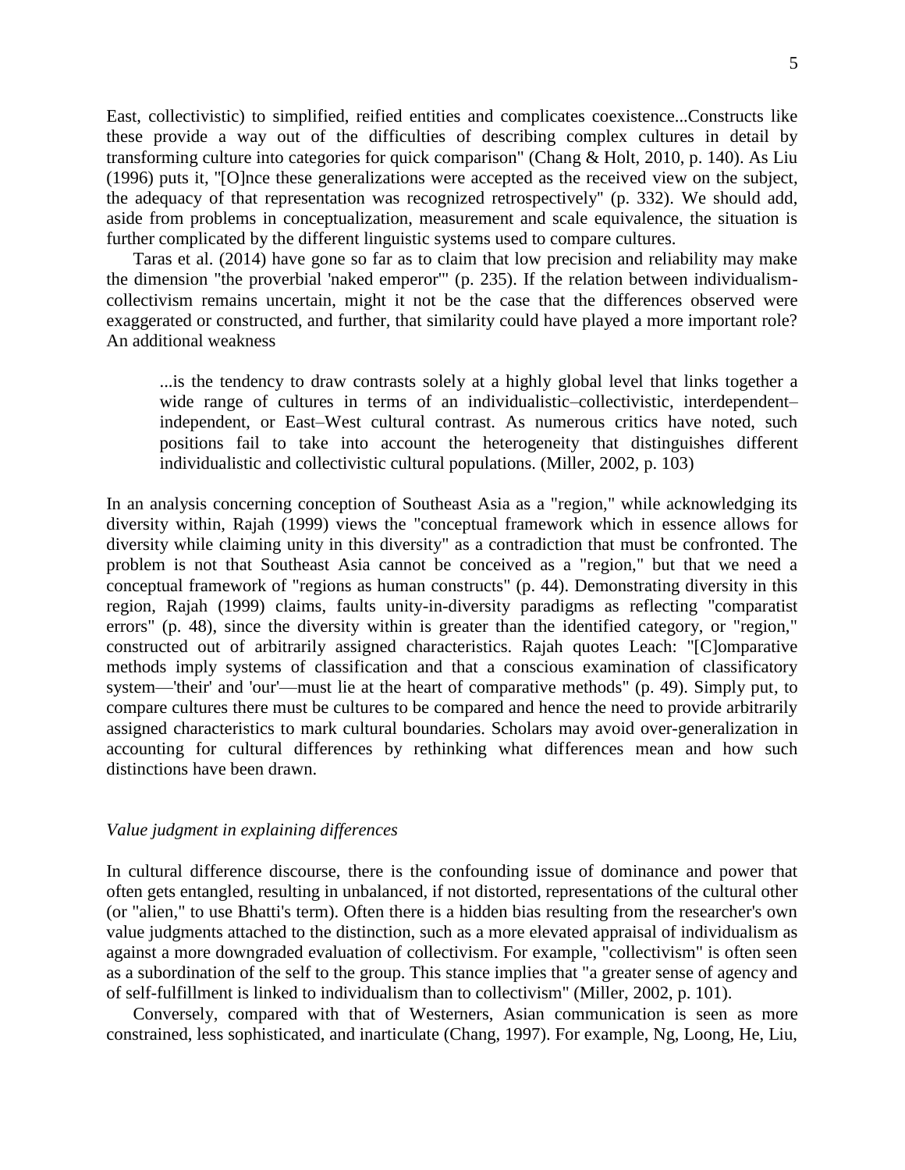East, collectivistic) to simplified, reified entities and complicates coexistence...Constructs like these provide a way out of the difficulties of describing complex cultures in detail by transforming culture into categories for quick comparison" (Chang & Holt, 2010, p. 140). As Liu (1996) puts it, ''[O]nce these generalizations were accepted as the received view on the subject, the adequacy of that representation was recognized retrospectively'' (p. 332). We should add, aside from problems in conceptualization, measurement and scale equivalence, the situation is further complicated by the different linguistic systems used to compare cultures.

Taras et al. (2014) have gone so far as to claim that low precision and reliability may make the dimension "the proverbial 'naked emperor'" (p. 235). If the relation between individualismcollectivism remains uncertain, might it not be the case that the differences observed were exaggerated or constructed, and further, that similarity could have played a more important role? An additional weakness

...is the tendency to draw contrasts solely at a highly global level that links together a wide range of cultures in terms of an individualistic–collectivistic, interdependent– independent, or East–West cultural contrast. As numerous critics have noted, such positions fail to take into account the heterogeneity that distinguishes different individualistic and collectivistic cultural populations. (Miller, 2002, p. 103)

In an analysis concerning conception of Southeast Asia as a "region," while acknowledging its diversity within, Rajah (1999) views the "conceptual framework which in essence allows for diversity while claiming unity in this diversity" as a contradiction that must be confronted. The problem is not that Southeast Asia cannot be conceived as a "region," but that we need a conceptual framework of "regions as human constructs" (p. 44). Demonstrating diversity in this region, Rajah (1999) claims, faults unity-in-diversity paradigms as reflecting "comparatist errors" (p. 48), since the diversity within is greater than the identified category, or "region," constructed out of arbitrarily assigned characteristics. Rajah quotes Leach: "[C]omparative methods imply systems of classification and that a conscious examination of classificatory system—'their' and 'our'—must lie at the heart of comparative methods" (p. 49). Simply put, to compare cultures there must be cultures to be compared and hence the need to provide arbitrarily assigned characteristics to mark cultural boundaries. Scholars may avoid over-generalization in accounting for cultural differences by rethinking what differences mean and how such distinctions have been drawn.

#### *Value judgment in explaining differences*

In cultural difference discourse, there is the confounding issue of dominance and power that often gets entangled, resulting in unbalanced, if not distorted, representations of the cultural other (or "alien," to use Bhatti's term). Often there is a hidden bias resulting from the researcher's own value judgments attached to the distinction, such as a more elevated appraisal of individualism as against a more downgraded evaluation of collectivism. For example, "collectivism" is often seen as a subordination of the self to the group. This stance implies that "a greater sense of agency and of self-fulfillment is linked to individualism than to collectivism" (Miller, 2002, p. 101).

Conversely, compared with that of Westerners, Asian communication is seen as more constrained, less sophisticated, and inarticulate (Chang, 1997). For example, Ng, Loong, He, Liu,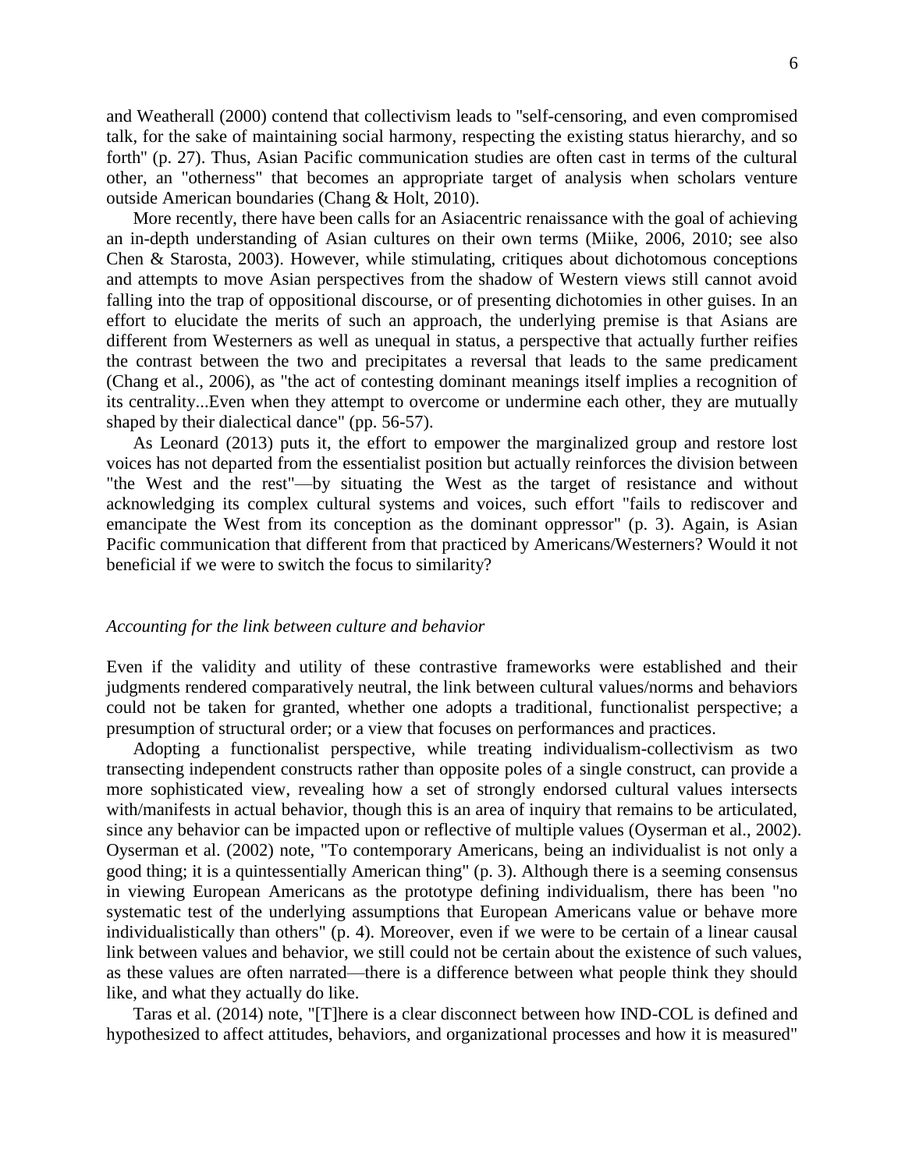and Weatherall (2000) contend that collectivism leads to ''self-censoring, and even compromised talk, for the sake of maintaining social harmony, respecting the existing status hierarchy, and so forth'' (p. 27). Thus, Asian Pacific communication studies are often cast in terms of the cultural other, an "otherness" that becomes an appropriate target of analysis when scholars venture outside American boundaries (Chang & Holt, 2010).

More recently, there have been calls for an Asiacentric renaissance with the goal of achieving an in-depth understanding of Asian cultures on their own terms (Miike, 2006, 2010; see also Chen & Starosta, 2003). However, while stimulating, critiques about dichotomous conceptions and attempts to move Asian perspectives from the shadow of Western views still cannot avoid falling into the trap of oppositional discourse, or of presenting dichotomies in other guises. In an effort to elucidate the merits of such an approach, the underlying premise is that Asians are different from Westerners as well as unequal in status, a perspective that actually further reifies the contrast between the two and precipitates a reversal that leads to the same predicament (Chang et al., 2006), as "the act of contesting dominant meanings itself implies a recognition of its centrality...Even when they attempt to overcome or undermine each other, they are mutually shaped by their dialectical dance" (pp. 56-57).

As Leonard (2013) puts it, the effort to empower the marginalized group and restore lost voices has not departed from the essentialist position but actually reinforces the division between "the West and the rest"—by situating the West as the target of resistance and without acknowledging its complex cultural systems and voices, such effort "fails to rediscover and emancipate the West from its conception as the dominant oppressor" (p. 3). Again, is Asian Pacific communication that different from that practiced by Americans/Westerners? Would it not beneficial if we were to switch the focus to similarity?

#### *Accounting for the link between culture and behavior*

Even if the validity and utility of these contrastive frameworks were established and their judgments rendered comparatively neutral, the link between cultural values/norms and behaviors could not be taken for granted, whether one adopts a traditional, functionalist perspective; a presumption of structural order; or a view that focuses on performances and practices.

Adopting a functionalist perspective, while treating individualism-collectivism as two transecting independent constructs rather than opposite poles of a single construct, can provide a more sophisticated view, revealing how a set of strongly endorsed cultural values intersects with/manifests in actual behavior, though this is an area of inquiry that remains to be articulated, since any behavior can be impacted upon or reflective of multiple values (Oyserman et al., 2002). Oyserman et al. (2002) note, "To contemporary Americans, being an individualist is not only a good thing; it is a quintessentially American thing" (p. 3). Although there is a seeming consensus in viewing European Americans as the prototype defining individualism, there has been "no systematic test of the underlying assumptions that European Americans value or behave more individualistically than others" (p. 4). Moreover, even if we were to be certain of a linear causal link between values and behavior, we still could not be certain about the existence of such values, as these values are often narrated—there is a difference between what people think they should like, and what they actually do like.

Taras et al. (2014) note, "[T]here is a clear disconnect between how IND-COL is defined and hypothesized to affect attitudes, behaviors, and organizational processes and how it is measured"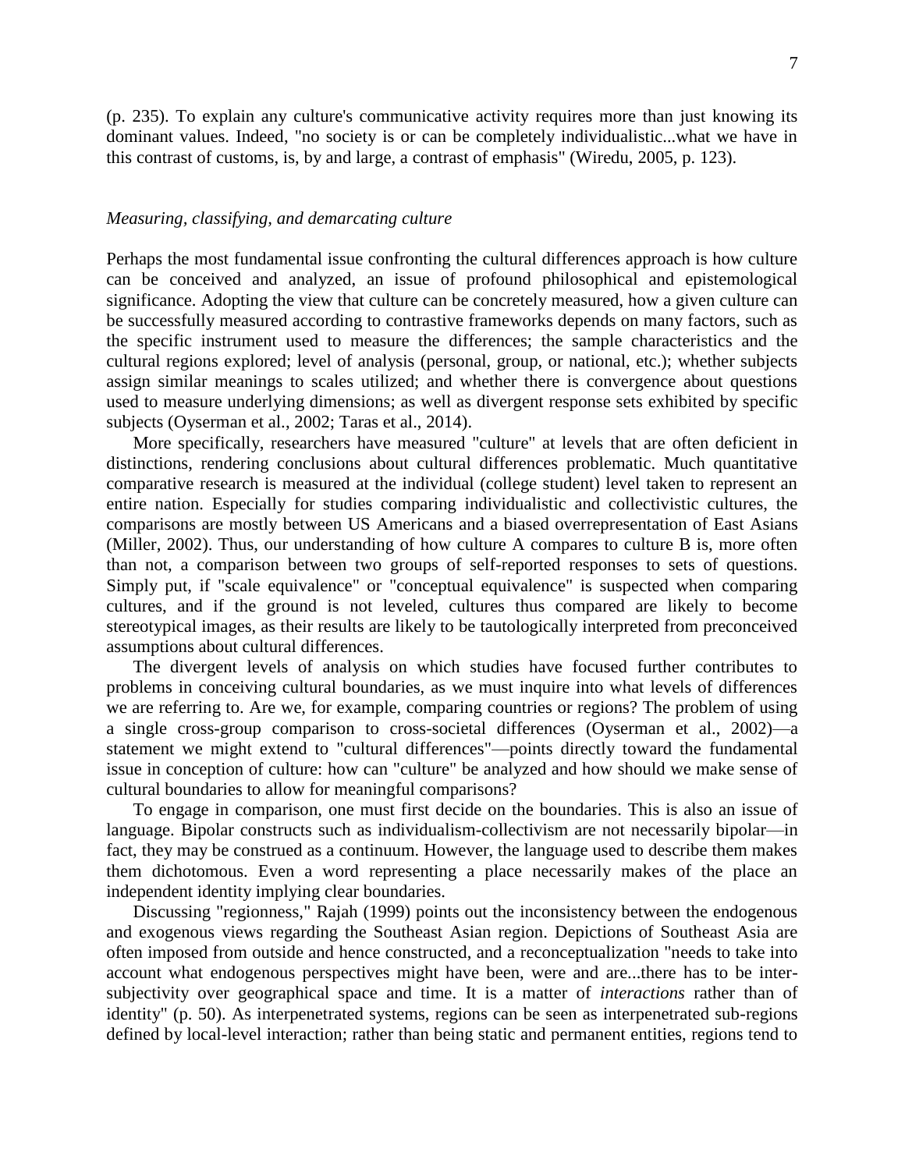(p. 235). To explain any culture's communicative activity requires more than just knowing its dominant values. Indeed, "no society is or can be completely individualistic...what we have in this contrast of customs, is, by and large, a contrast of emphasis" (Wiredu, 2005, p. 123).

#### *Measuring, classifying, and demarcating culture*

Perhaps the most fundamental issue confronting the cultural differences approach is how culture can be conceived and analyzed, an issue of profound philosophical and epistemological significance. Adopting the view that culture can be concretely measured, how a given culture can be successfully measured according to contrastive frameworks depends on many factors, such as the specific instrument used to measure the differences; the sample characteristics and the cultural regions explored; level of analysis (personal, group, or national, etc.); whether subjects assign similar meanings to scales utilized; and whether there is convergence about questions used to measure underlying dimensions; as well as divergent response sets exhibited by specific subjects (Oyserman et al., 2002; Taras et al., 2014).

More specifically, researchers have measured "culture" at levels that are often deficient in distinctions, rendering conclusions about cultural differences problematic. Much quantitative comparative research is measured at the individual (college student) level taken to represent an entire nation. Especially for studies comparing individualistic and collectivistic cultures, the comparisons are mostly between US Americans and a biased overrepresentation of East Asians (Miller, 2002). Thus, our understanding of how culture A compares to culture B is, more often than not, a comparison between two groups of self-reported responses to sets of questions. Simply put, if "scale equivalence" or "conceptual equivalence" is suspected when comparing cultures, and if the ground is not leveled, cultures thus compared are likely to become stereotypical images, as their results are likely to be tautologically interpreted from preconceived assumptions about cultural differences.

The divergent levels of analysis on which studies have focused further contributes to problems in conceiving cultural boundaries, as we must inquire into what levels of differences we are referring to. Are we, for example, comparing countries or regions? The problem of using a single cross-group comparison to cross-societal differences (Oyserman et al., 2002)—a statement we might extend to "cultural differences"—points directly toward the fundamental issue in conception of culture: how can "culture" be analyzed and how should we make sense of cultural boundaries to allow for meaningful comparisons?

To engage in comparison, one must first decide on the boundaries. This is also an issue of language. Bipolar constructs such as individualism-collectivism are not necessarily bipolar—in fact, they may be construed as a continuum. However, the language used to describe them makes them dichotomous. Even a word representing a place necessarily makes of the place an independent identity implying clear boundaries.

Discussing "regionness," Rajah (1999) points out the inconsistency between the endogenous and exogenous views regarding the Southeast Asian region. Depictions of Southeast Asia are often imposed from outside and hence constructed, and a reconceptualization "needs to take into account what endogenous perspectives might have been, were and are...there has to be intersubjectivity over geographical space and time. It is a matter of *interactions* rather than of identity" (p. 50). As interpenetrated systems, regions can be seen as interpenetrated sub-regions defined by local-level interaction; rather than being static and permanent entities, regions tend to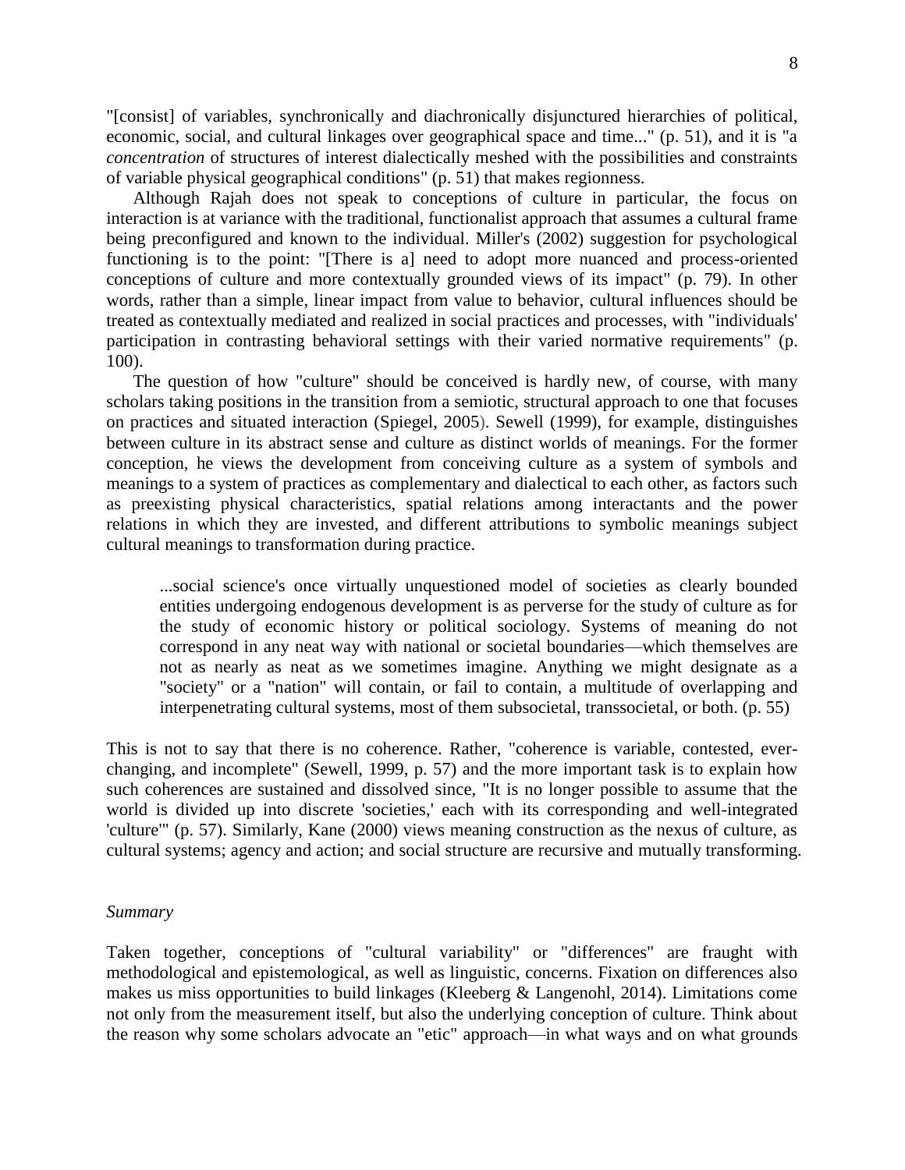"[consist] of variables, synchronically and diachronically disjunctured hierarchies of political, economic, social, and cultural linkages over geographical space and time..." (p. 51), and it is "a *concentration* of structures of interest dialectically meshed with the possibilities and constraints of variable physical geographical conditions" (p. 51) that makes regionness.

Although Rajah does not speak to conceptions of culture in particular, the focus on interaction is at variance with the traditional, functionalist approach that assumes a cultural frame being preconfigured and known to the individual. Miller's (2002) suggestion for psychological functioning is to the point: "[There is a] need to adopt more nuanced and process-oriented conceptions of culture and more contextually grounded views of its impact" (p. 79). In other words, rather than a simple, linear impact from value to behavior, cultural influences should be treated as contextually mediated and realized in social practices and processes, with "individuals' participation in contrasting behavioral settings with their varied normative requirements" (p. 100).

The question of how "culture" should be conceived is hardly new, of course, with many scholars taking positions in the transition from a semiotic, structural approach to one that focuses on practices and situated interaction (Spiegel, 2005). Sewell (1999), for example, distinguishes between culture in its abstract sense and culture as distinct worlds of meanings. For the former conception, he views the development from conceiving culture as a system of symbols and meanings to a system of practices as complementary and dialectical to each other, as factors such as preexisting physical characteristics, spatial relations among interactants and the power relations in which they are invested, and different attributions to symbolic meanings subject cultural meanings to transformation during practice.

...social science's once virtually unquestioned model of societies as clearly bounded entities undergoing endogenous development is as perverse for the study of culture as for the study of economic history or political sociology. Systems of meaning do not correspond in any neat way with national or societal boundaries—which themselves are not as nearly as neat as we sometimes imagine. Anything we might designate as a "society" or a "nation" will contain, or fail to contain, a multitude of overlapping and interpenetrating cultural systems, most of them subsocietal, transsocietal, or both. (p. 55)

This is not to say that there is no coherence. Rather, "coherence is variable, contested, everchanging, and incomplete" (Sewell, 1999, p. 57) and the more important task is to explain how such coherences are sustained and dissolved since, "It is no longer possible to assume that the world is divided up into discrete 'societies,' each with its corresponding and well-integrated 'culture'" (p. 57). Similarly, Kane (2000) views meaning construction as the nexus of culture, as cultural systems; agency and action; and social structure are recursive and mutually transforming.

#### *Summary*

Taken together, conceptions of "cultural variability" or "differences" are fraught with methodological and epistemological, as well as linguistic, concerns. Fixation on differences also makes us miss opportunities to build linkages (Kleeberg & Langenohl, 2014). Limitations come not only from the measurement itself, but also the underlying conception of culture. Think about the reason why some scholars advocate an "etic" approach—in what ways and on what grounds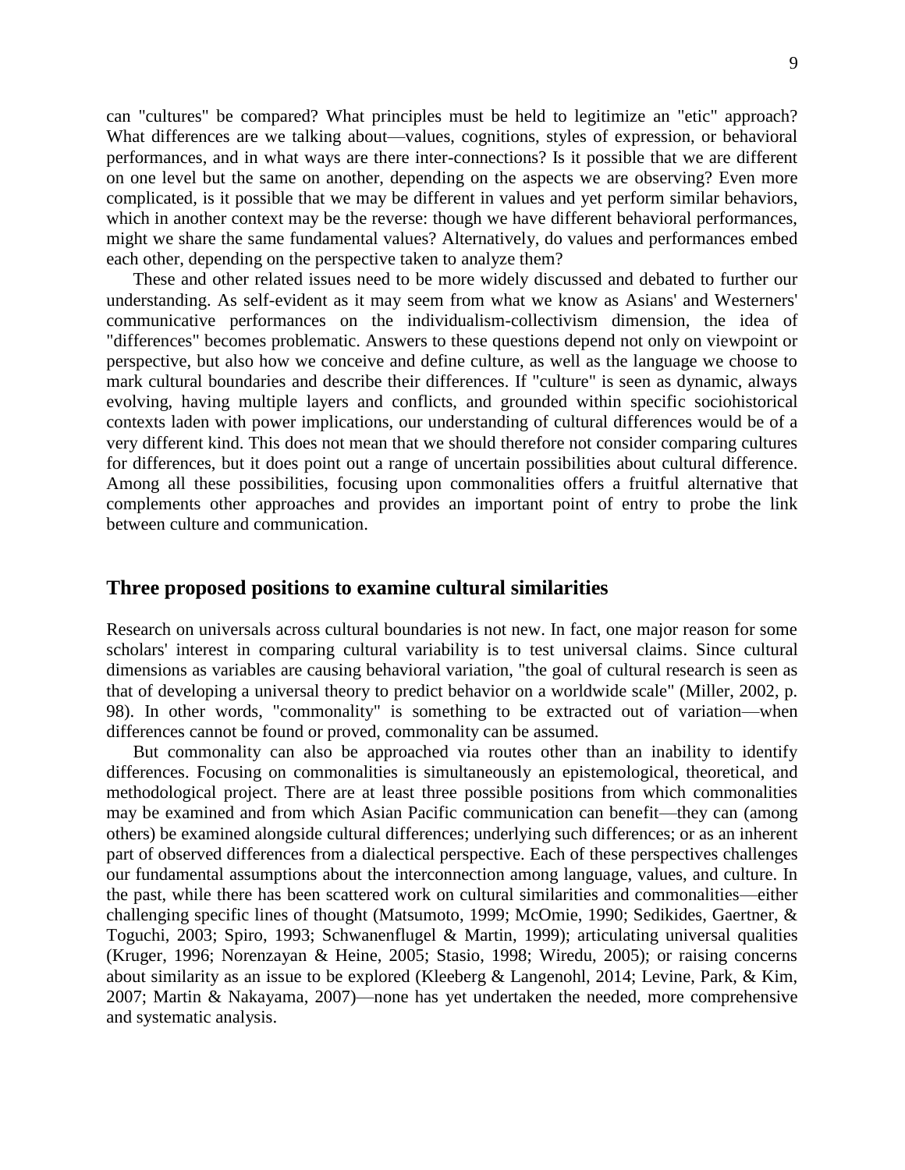can "cultures" be compared? What principles must be held to legitimize an "etic" approach? What differences are we talking about—values, cognitions, styles of expression, or behavioral performances, and in what ways are there inter-connections? Is it possible that we are different on one level but the same on another, depending on the aspects we are observing? Even more complicated, is it possible that we may be different in values and yet perform similar behaviors, which in another context may be the reverse: though we have different behavioral performances, might we share the same fundamental values? Alternatively, do values and performances embed each other, depending on the perspective taken to analyze them?

These and other related issues need to be more widely discussed and debated to further our understanding. As self-evident as it may seem from what we know as Asians' and Westerners' communicative performances on the individualism-collectivism dimension, the idea of "differences" becomes problematic. Answers to these questions depend not only on viewpoint or perspective, but also how we conceive and define culture, as well as the language we choose to mark cultural boundaries and describe their differences. If "culture" is seen as dynamic, always evolving, having multiple layers and conflicts, and grounded within specific sociohistorical contexts laden with power implications, our understanding of cultural differences would be of a very different kind. This does not mean that we should therefore not consider comparing cultures for differences, but it does point out a range of uncertain possibilities about cultural difference. Among all these possibilities, focusing upon commonalities offers a fruitful alternative that complements other approaches and provides an important point of entry to probe the link between culture and communication.

## **Three proposed positions to examine cultural similarities**

Research on universals across cultural boundaries is not new. In fact, one major reason for some scholars' interest in comparing cultural variability is to test universal claims. Since cultural dimensions as variables are causing behavioral variation, "the goal of cultural research is seen as that of developing a universal theory to predict behavior on a worldwide scale" (Miller, 2002, p. 98). In other words, "commonality" is something to be extracted out of variation—when differences cannot be found or proved, commonality can be assumed.

But commonality can also be approached via routes other than an inability to identify differences. Focusing on commonalities is simultaneously an epistemological, theoretical, and methodological project. There are at least three possible positions from which commonalities may be examined and from which Asian Pacific communication can benefit—they can (among others) be examined alongside cultural differences; underlying such differences; or as an inherent part of observed differences from a dialectical perspective. Each of these perspectives challenges our fundamental assumptions about the interconnection among language, values, and culture. In the past, while there has been scattered work on cultural similarities and commonalities—either challenging specific lines of thought (Matsumoto, 1999; McOmie, 1990; Sedikides, Gaertner, & Toguchi, 2003; Spiro, 1993; Schwanenflugel & Martin, 1999); articulating universal qualities (Kruger, 1996; Norenzayan & Heine, 2005; Stasio, 1998; Wiredu, 2005); or raising concerns about similarity as an issue to be explored (Kleeberg & Langenohl, 2014; Levine, Park, & Kim, 2007; Martin & Nakayama, 2007)—none has yet undertaken the needed, more comprehensive and systematic analysis.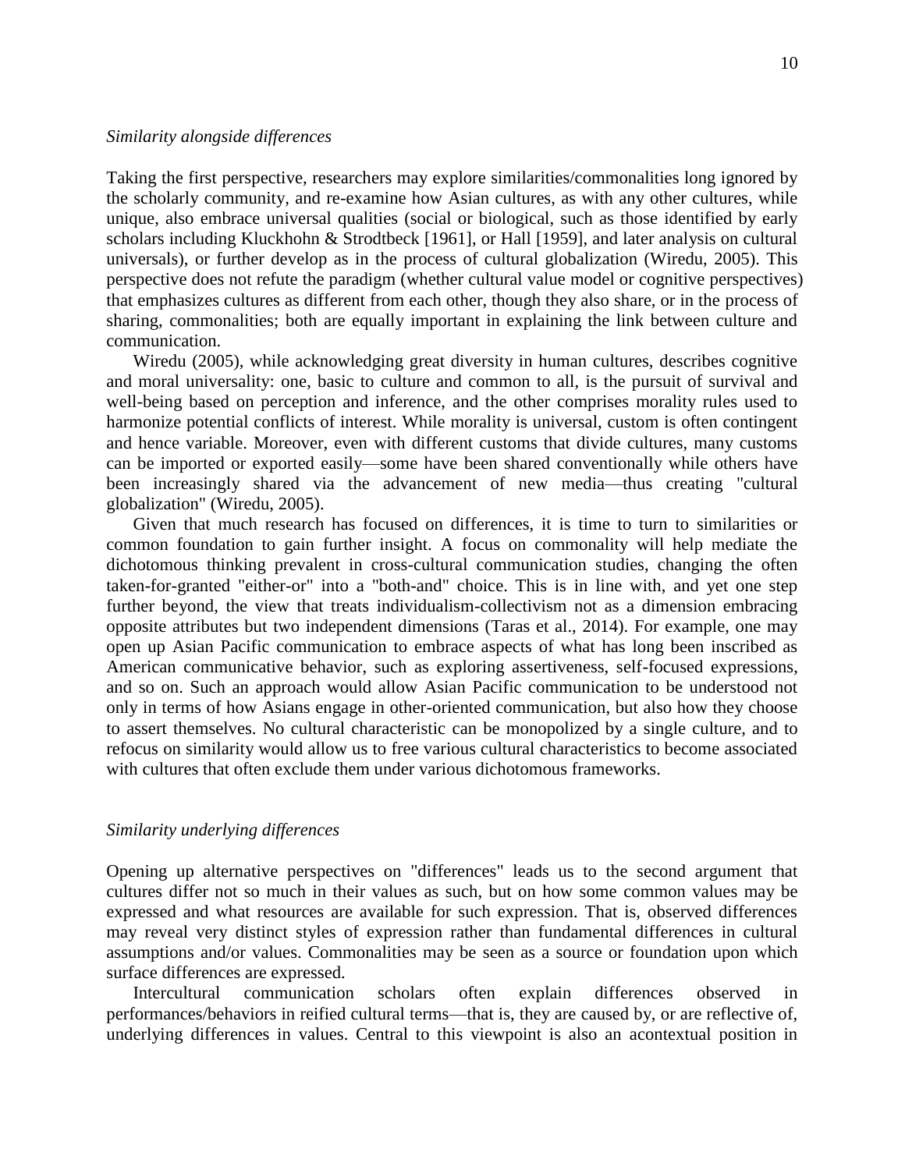#### *Similarity alongside differences*

Taking the first perspective, researchers may explore similarities/commonalities long ignored by the scholarly community, and re-examine how Asian cultures, as with any other cultures, while unique, also embrace universal qualities (social or biological, such as those identified by early scholars including Kluckhohn & Strodtbeck [1961], or Hall [1959], and later analysis on cultural universals), or further develop as in the process of cultural globalization (Wiredu, 2005). This perspective does not refute the paradigm (whether cultural value model or cognitive perspectives) that emphasizes cultures as different from each other, though they also share, or in the process of sharing, commonalities; both are equally important in explaining the link between culture and communication.

Wiredu (2005), while acknowledging great diversity in human cultures, describes cognitive and moral universality: one, basic to culture and common to all, is the pursuit of survival and well-being based on perception and inference, and the other comprises morality rules used to harmonize potential conflicts of interest. While morality is universal, custom is often contingent and hence variable. Moreover, even with different customs that divide cultures, many customs can be imported or exported easily—some have been shared conventionally while others have been increasingly shared via the advancement of new media—thus creating "cultural globalization" (Wiredu, 2005).

Given that much research has focused on differences, it is time to turn to similarities or common foundation to gain further insight. A focus on commonality will help mediate the dichotomous thinking prevalent in cross-cultural communication studies, changing the often taken-for-granted "either-or" into a "both-and" choice. This is in line with, and yet one step further beyond, the view that treats individualism-collectivism not as a dimension embracing opposite attributes but two independent dimensions (Taras et al., 2014). For example, one may open up Asian Pacific communication to embrace aspects of what has long been inscribed as American communicative behavior, such as exploring assertiveness, self-focused expressions, and so on. Such an approach would allow Asian Pacific communication to be understood not only in terms of how Asians engage in other-oriented communication, but also how they choose to assert themselves. No cultural characteristic can be monopolized by a single culture, and to refocus on similarity would allow us to free various cultural characteristics to become associated with cultures that often exclude them under various dichotomous frameworks.

#### *Similarity underlying differences*

Opening up alternative perspectives on "differences" leads us to the second argument that cultures differ not so much in their values as such, but on how some common values may be expressed and what resources are available for such expression. That is, observed differences may reveal very distinct styles of expression rather than fundamental differences in cultural assumptions and/or values. Commonalities may be seen as a source or foundation upon which surface differences are expressed.

Intercultural communication scholars often explain differences observed in performances/behaviors in reified cultural terms—that is, they are caused by, or are reflective of, underlying differences in values. Central to this viewpoint is also an acontextual position in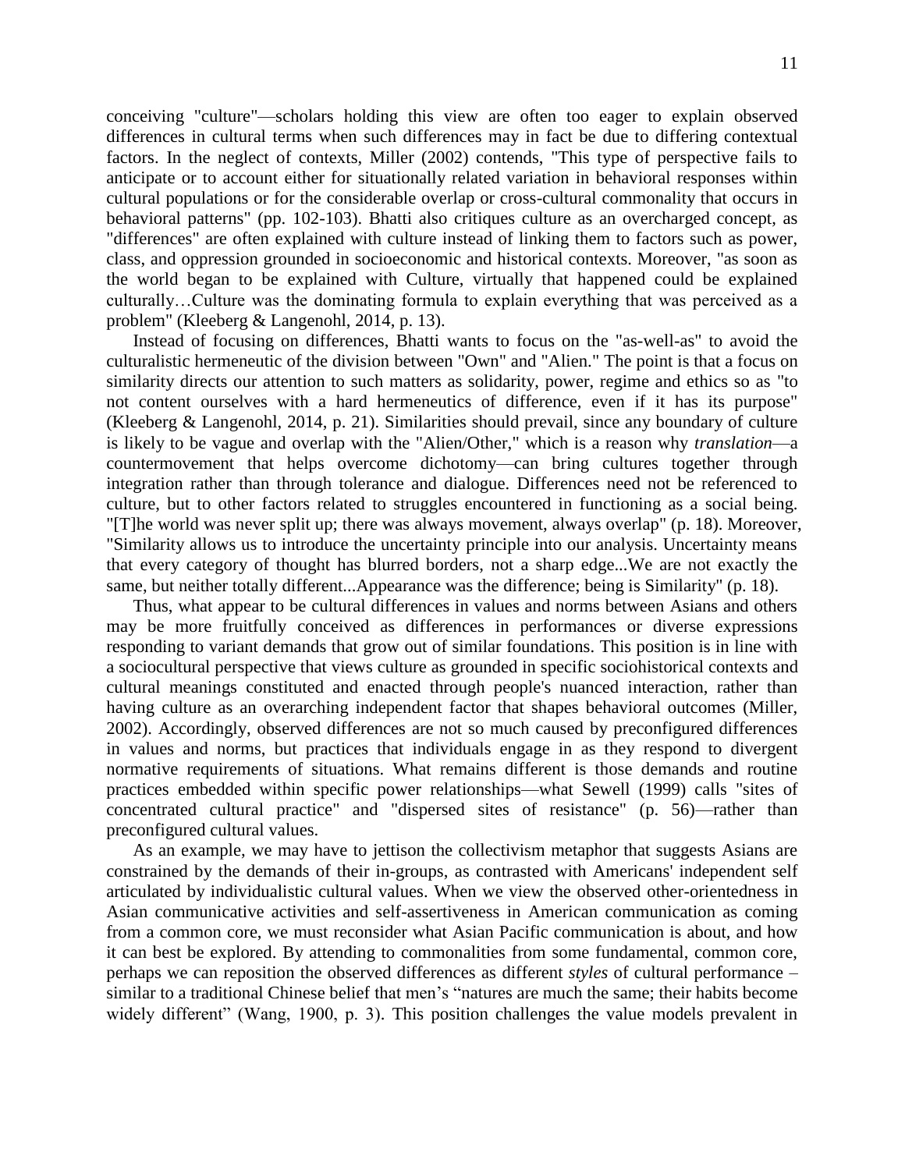conceiving "culture"—scholars holding this view are often too eager to explain observed differences in cultural terms when such differences may in fact be due to differing contextual factors. In the neglect of contexts, Miller (2002) contends, "This type of perspective fails to anticipate or to account either for situationally related variation in behavioral responses within cultural populations or for the considerable overlap or cross-cultural commonality that occurs in behavioral patterns" (pp. 102-103). Bhatti also critiques culture as an overcharged concept, as "differences" are often explained with culture instead of linking them to factors such as power, class, and oppression grounded in socioeconomic and historical contexts. Moreover, "as soon as the world began to be explained with Culture, virtually that happened could be explained culturally…Culture was the dominating formula to explain everything that was perceived as a problem" (Kleeberg & Langenohl, 2014, p. 13).

Instead of focusing on differences, Bhatti wants to focus on the "as-well-as" to avoid the culturalistic hermeneutic of the division between "Own" and "Alien." The point is that a focus on similarity directs our attention to such matters as solidarity, power, regime and ethics so as "to not content ourselves with a hard hermeneutics of difference, even if it has its purpose" (Kleeberg & Langenohl, 2014, p. 21). Similarities should prevail, since any boundary of culture is likely to be vague and overlap with the "Alien/Other," which is a reason why *translation*—a countermovement that helps overcome dichotomy—can bring cultures together through integration rather than through tolerance and dialogue. Differences need not be referenced to culture, but to other factors related to struggles encountered in functioning as a social being. "[T]he world was never split up; there was always movement, always overlap" (p. 18). Moreover, "Similarity allows us to introduce the uncertainty principle into our analysis. Uncertainty means that every category of thought has blurred borders, not a sharp edge...We are not exactly the same, but neither totally different...Appearance was the difference; being is Similarity" (p. 18).

Thus, what appear to be cultural differences in values and norms between Asians and others may be more fruitfully conceived as differences in performances or diverse expressions responding to variant demands that grow out of similar foundations. This position is in line with a sociocultural perspective that views culture as grounded in specific sociohistorical contexts and cultural meanings constituted and enacted through people's nuanced interaction, rather than having culture as an overarching independent factor that shapes behavioral outcomes (Miller, 2002). Accordingly, observed differences are not so much caused by preconfigured differences in values and norms, but practices that individuals engage in as they respond to divergent normative requirements of situations. What remains different is those demands and routine practices embedded within specific power relationships—what Sewell (1999) calls "sites of concentrated cultural practice" and "dispersed sites of resistance" (p. 56)—rather than preconfigured cultural values.

As an example, we may have to jettison the collectivism metaphor that suggests Asians are constrained by the demands of their in-groups, as contrasted with Americans' independent self articulated by individualistic cultural values. When we view the observed other-orientedness in Asian communicative activities and self-assertiveness in American communication as coming from a common core, we must reconsider what Asian Pacific communication is about, and how it can best be explored. By attending to commonalities from some fundamental, common core, perhaps we can reposition the observed differences as different *styles* of cultural performance – similar to a traditional Chinese belief that men's "natures are much the same; their habits become widely different" (Wang, 1900, p. 3). This position challenges the value models prevalent in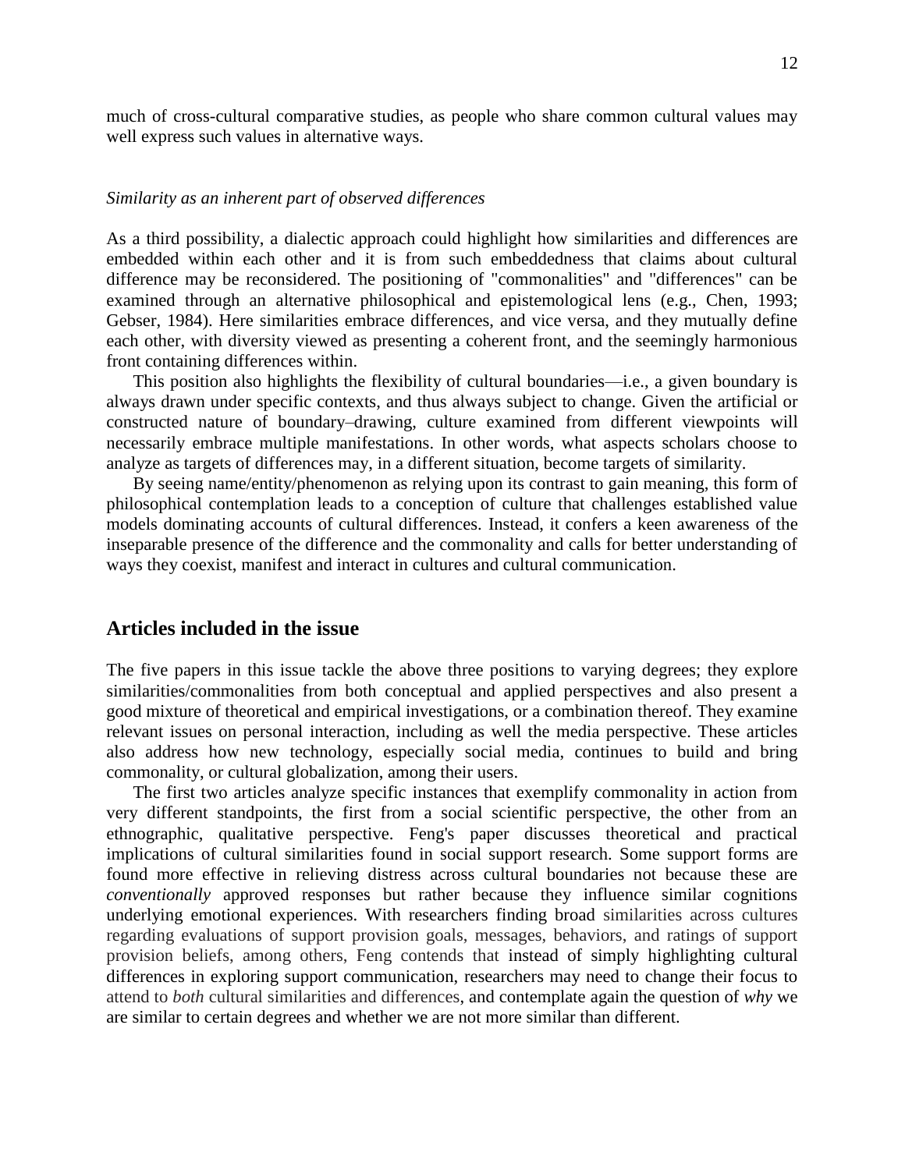much of cross-cultural comparative studies, as people who share common cultural values may well express such values in alternative ways.

#### *Similarity as an inherent part of observed differences*

As a third possibility, a dialectic approach could highlight how similarities and differences are embedded within each other and it is from such embeddedness that claims about cultural difference may be reconsidered. The positioning of "commonalities" and "differences" can be examined through an alternative philosophical and epistemological lens (e.g., Chen, 1993; Gebser, 1984). Here similarities embrace differences, and vice versa, and they mutually define each other, with diversity viewed as presenting a coherent front, and the seemingly harmonious front containing differences within.

This position also highlights the flexibility of cultural boundaries—i.e., a given boundary is always drawn under specific contexts, and thus always subject to change. Given the artificial or constructed nature of boundary–drawing, culture examined from different viewpoints will necessarily embrace multiple manifestations. In other words, what aspects scholars choose to analyze as targets of differences may, in a different situation, become targets of similarity.

By seeing name/entity/phenomenon as relying upon its contrast to gain meaning, this form of philosophical contemplation leads to a conception of culture that challenges established value models dominating accounts of cultural differences. Instead, it confers a keen awareness of the inseparable presence of the difference and the commonality and calls for better understanding of ways they coexist, manifest and interact in cultures and cultural communication.

## **Articles included in the issue**

The five papers in this issue tackle the above three positions to varying degrees; they explore similarities/commonalities from both conceptual and applied perspectives and also present a good mixture of theoretical and empirical investigations, or a combination thereof. They examine relevant issues on personal interaction, including as well the media perspective. These articles also address how new technology, especially social media, continues to build and bring commonality, or cultural globalization, among their users.

The first two articles analyze specific instances that exemplify commonality in action from very different standpoints, the first from a social scientific perspective, the other from an ethnographic, qualitative perspective. Feng's paper discusses theoretical and practical implications of cultural similarities found in social support research. Some support forms are found more effective in relieving distress across cultural boundaries not because these are *conventionally* approved responses but rather because they influence similar cognitions underlying emotional experiences. With researchers finding broad similarities across cultures regarding evaluations of support provision goals, messages, behaviors, and ratings of support provision beliefs, among others, Feng contends that instead of simply highlighting cultural differences in exploring support communication, researchers may need to change their focus to attend to *both* cultural similarities and differences, and contemplate again the question of *why* we are similar to certain degrees and whether we are not more similar than different.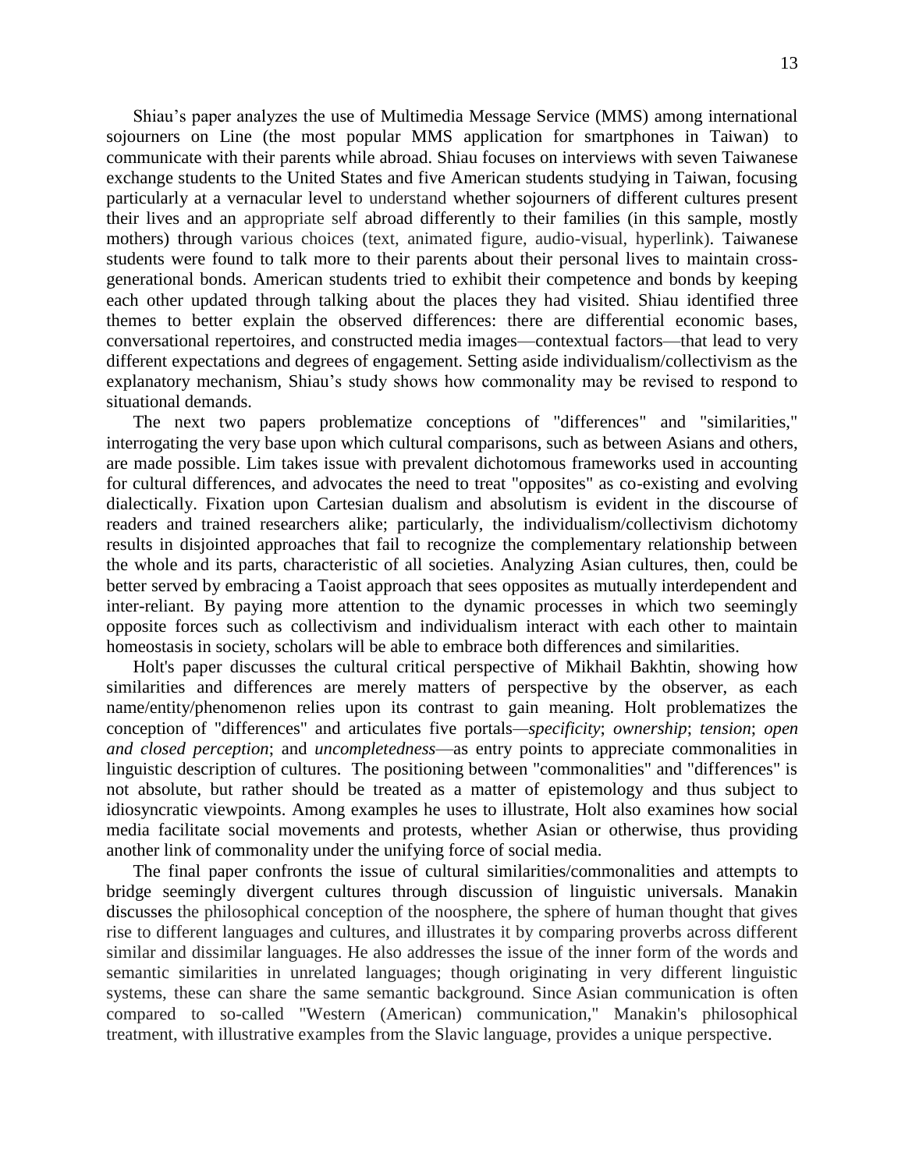Shiau's paper analyzes the use of Multimedia Message Service (MMS) among international sojourners on Line (the most popular MMS application for smartphones in Taiwan) to communicate with their parents while abroad. Shiau focuses on interviews with seven Taiwanese exchange students to the United States and five American students studying in Taiwan, focusing particularly at a vernacular level to understand whether sojourners of different cultures present their lives and an appropriate self abroad differently to their families (in this sample, mostly mothers) through various choices (text, animated figure, audio-visual, hyperlink). Taiwanese students were found to talk more to their parents about their personal lives to maintain crossgenerational bonds. American students tried to exhibit their competence and bonds by keeping each other updated through talking about the places they had visited. Shiau identified three themes to better explain the observed differences: there are differential economic bases, conversational repertoires, and constructed media images—contextual factors—that lead to very different expectations and degrees of engagement. Setting aside individualism/collectivism as the explanatory mechanism, Shiau's study shows how commonality may be revised to respond to situational demands.

The next two papers problematize conceptions of "differences" and "similarities," interrogating the very base upon which cultural comparisons, such as between Asians and others, are made possible. Lim takes issue with prevalent dichotomous frameworks used in accounting for cultural differences, and advocates the need to treat "opposites" as co-existing and evolving dialectically. Fixation upon Cartesian dualism and absolutism is evident in the discourse of readers and trained researchers alike; particularly, the individualism/collectivism dichotomy results in disjointed approaches that fail to recognize the complementary relationship between the whole and its parts, characteristic of all societies. Analyzing Asian cultures, then, could be better served by embracing a Taoist approach that sees opposites as mutually interdependent and inter-reliant. By paying more attention to the dynamic processes in which two seemingly opposite forces such as collectivism and individualism interact with each other to maintain homeostasis in society, scholars will be able to embrace both differences and similarities.

Holt's paper discusses the cultural critical perspective of Mikhail Bakhtin, showing how similarities and differences are merely matters of perspective by the observer, as each name/entity/phenomenon relies upon its contrast to gain meaning. Holt problematizes the conception of "differences" and articulates five portals*—specificity*; *ownership*; *tension*; *open and closed perception*; and *uncompletedness*—as entry points to appreciate commonalities in linguistic description of cultures. The positioning between "commonalities" and "differences" is not absolute, but rather should be treated as a matter of epistemology and thus subject to idiosyncratic viewpoints. Among examples he uses to illustrate, Holt also examines how social media facilitate social movements and protests, whether Asian or otherwise, thus providing another link of commonality under the unifying force of social media.

The final paper confronts the issue of cultural similarities/commonalities and attempts to bridge seemingly divergent cultures through discussion of linguistic universals. Manakin discusses the philosophical conception of the noosphere, the sphere of human thought that gives rise to different languages and cultures, and illustrates it by comparing proverbs across different similar and dissimilar languages. He also addresses the issue of the inner form of the words and semantic similarities in unrelated languages; though originating in very different linguistic systems, these can share the same semantic background. Since Asian communication is often compared to so-called "Western (American) communication," Manakin's philosophical treatment, with illustrative examples from the Slavic language, provides a unique perspective.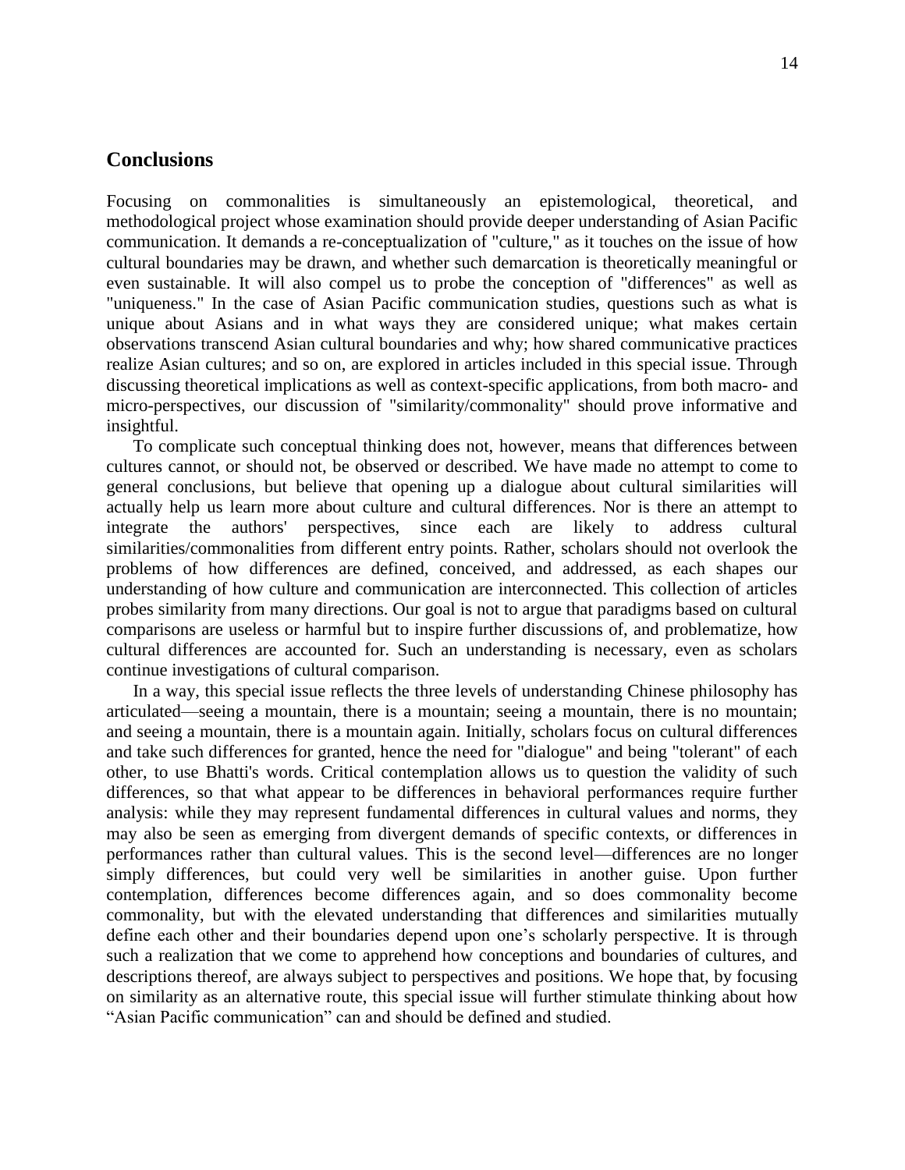## **Conclusions**

Focusing on commonalities is simultaneously an epistemological, theoretical, and methodological project whose examination should provide deeper understanding of Asian Pacific communication. It demands a re-conceptualization of "culture," as it touches on the issue of how cultural boundaries may be drawn, and whether such demarcation is theoretically meaningful or even sustainable. It will also compel us to probe the conception of "differences" as well as "uniqueness." In the case of Asian Pacific communication studies, questions such as what is unique about Asians and in what ways they are considered unique; what makes certain observations transcend Asian cultural boundaries and why; how shared communicative practices realize Asian cultures; and so on, are explored in articles included in this special issue. Through discussing theoretical implications as well as context-specific applications, from both macro- and micro-perspectives, our discussion of "similarity/commonality" should prove informative and insightful.

To complicate such conceptual thinking does not, however, means that differences between cultures cannot, or should not, be observed or described. We have made no attempt to come to general conclusions, but believe that opening up a dialogue about cultural similarities will actually help us learn more about culture and cultural differences. Nor is there an attempt to integrate the authors' perspectives, since each are likely to address cultural similarities/commonalities from different entry points. Rather, scholars should not overlook the problems of how differences are defined, conceived, and addressed, as each shapes our understanding of how culture and communication are interconnected. This collection of articles probes similarity from many directions. Our goal is not to argue that paradigms based on cultural comparisons are useless or harmful but to inspire further discussions of, and problematize, how cultural differences are accounted for. Such an understanding is necessary, even as scholars continue investigations of cultural comparison.

In a way, this special issue reflects the three levels of understanding Chinese philosophy has articulated—seeing a mountain, there is a mountain; seeing a mountain, there is no mountain; and seeing a mountain, there is a mountain again. Initially, scholars focus on cultural differences and take such differences for granted, hence the need for "dialogue" and being "tolerant" of each other, to use Bhatti's words. Critical contemplation allows us to question the validity of such differences, so that what appear to be differences in behavioral performances require further analysis: while they may represent fundamental differences in cultural values and norms, they may also be seen as emerging from divergent demands of specific contexts, or differences in performances rather than cultural values. This is the second level—differences are no longer simply differences, but could very well be similarities in another guise. Upon further contemplation, differences become differences again, and so does commonality become commonality, but with the elevated understanding that differences and similarities mutually define each other and their boundaries depend upon one's scholarly perspective. It is through such a realization that we come to apprehend how conceptions and boundaries of cultures, and descriptions thereof, are always subject to perspectives and positions. We hope that, by focusing on similarity as an alternative route, this special issue will further stimulate thinking about how "Asian Pacific communication" can and should be defined and studied.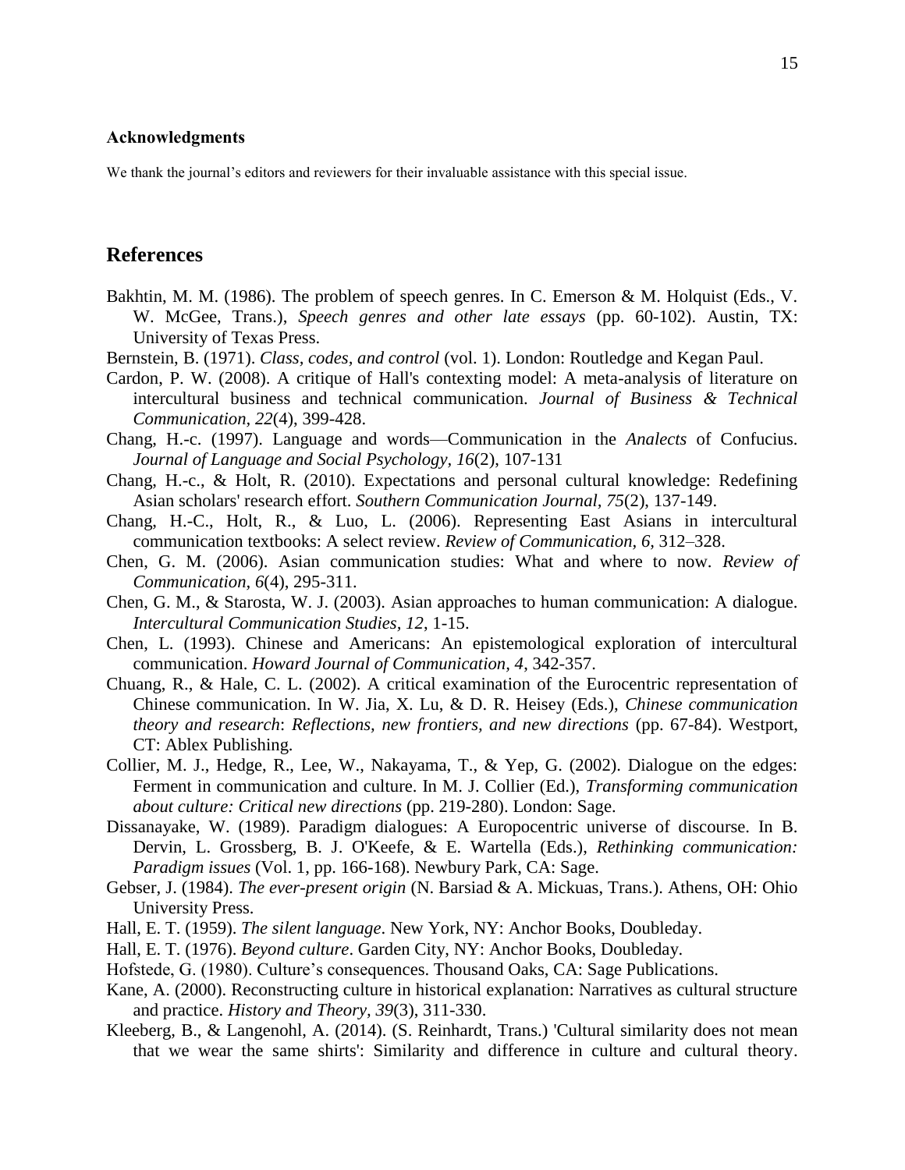## Acknowledgments

We thank the journal's editors and reviewers for their invaluable assistance with this special issue.

## **References**

- Bakhtin, M. M. (1986). The problem of speech genres. In C. Emerson & M. Holquist (Eds., V. W. McGee, Trans.), *Speech genres and other late essays* (pp. 60-102). Austin, TX: University of Texas Press.
- Bernstein, B. (1971). *Class, codes, and control* (vol. 1). London: Routledge and Kegan Paul.
- Cardon, P. W. (2008). A critique of Hall's contexting model: A meta-analysis of literature on intercultural business and technical communication. *Journal of Business & Technical Communication, 22*(4), 399-428.
- Chang, H.-c. (1997). Language and words—Communication in the *Analects* of Confucius. *Journal of Language and Social Psychology, 16*(2), 107-131
- Chang, H.-c., & Holt, R. (2010). Expectations and personal cultural knowledge: Redefining Asian scholars' research effort. *Southern Communication Journal, 75*(2), 137-149.
- Chang, H.-C., Holt, R., & Luo, L. (2006). Representing East Asians in intercultural communication textbooks: A select review. *Review of Communication, 6,* 312–328.
- Chen, G. M. (2006). Asian communication studies: What and where to now. *Review of Communication, 6*(4), 295-311.
- Chen, G. M., & Starosta, W. J. (2003). Asian approaches to human communication: A dialogue. *Intercultural Communication Studies, 12*, 1-15.
- Chen, L. (1993). Chinese and Americans: An epistemological exploration of intercultural communication. *Howard Journal of Communication, 4*, 342-357.
- Chuang, R., & Hale, C. L. (2002). A critical examination of the Eurocentric representation of Chinese communication. In W. Jia, X. Lu, & D. R. Heisey (Eds.), *Chinese communication theory and research*: *Reflections, new frontiers, and new directions* (pp. 67-84). Westport, CT: Ablex Publishing.
- Collier, M. J., Hedge, R., Lee, W., Nakayama, T., & Yep, G. (2002). Dialogue on the edges: Ferment in communication and culture. In M. J. Collier (Ed.), *Transforming communication about culture: Critical new directions* (pp. 219-280). London: Sage.
- Dissanayake, W. (1989). Paradigm dialogues: A Europocentric universe of discourse. In B. Dervin, L. Grossberg, B. J. O'Keefe, & E. Wartella (Eds.), *Rethinking communication: Paradigm issues* (Vol. 1, pp. 166-168). Newbury Park, CA: Sage.
- Gebser, J. (1984). *The ever-present origin* (N. Barsiad & A. Mickuas, Trans.). Athens, OH: Ohio University Press.
- Hall, E. T. (1959). *The silent language*. New York, NY: Anchor Books, Doubleday.
- Hall, E. T. (1976). *Beyond culture*. Garden City, NY: Anchor Books, Doubleday.
- Hofstede, G. (1980). Culture's consequences. Thousand Oaks, CA: Sage Publications.
- Kane, A. (2000). Reconstructing culture in historical explanation: Narratives as cultural structure and practice. *History and Theory, 39*(3), 311-330.
- Kleeberg, B., & Langenohl, A. (2014). (S. Reinhardt, Trans.) 'Cultural similarity does not mean that we wear the same shirts': Similarity and difference in culture and cultural theory.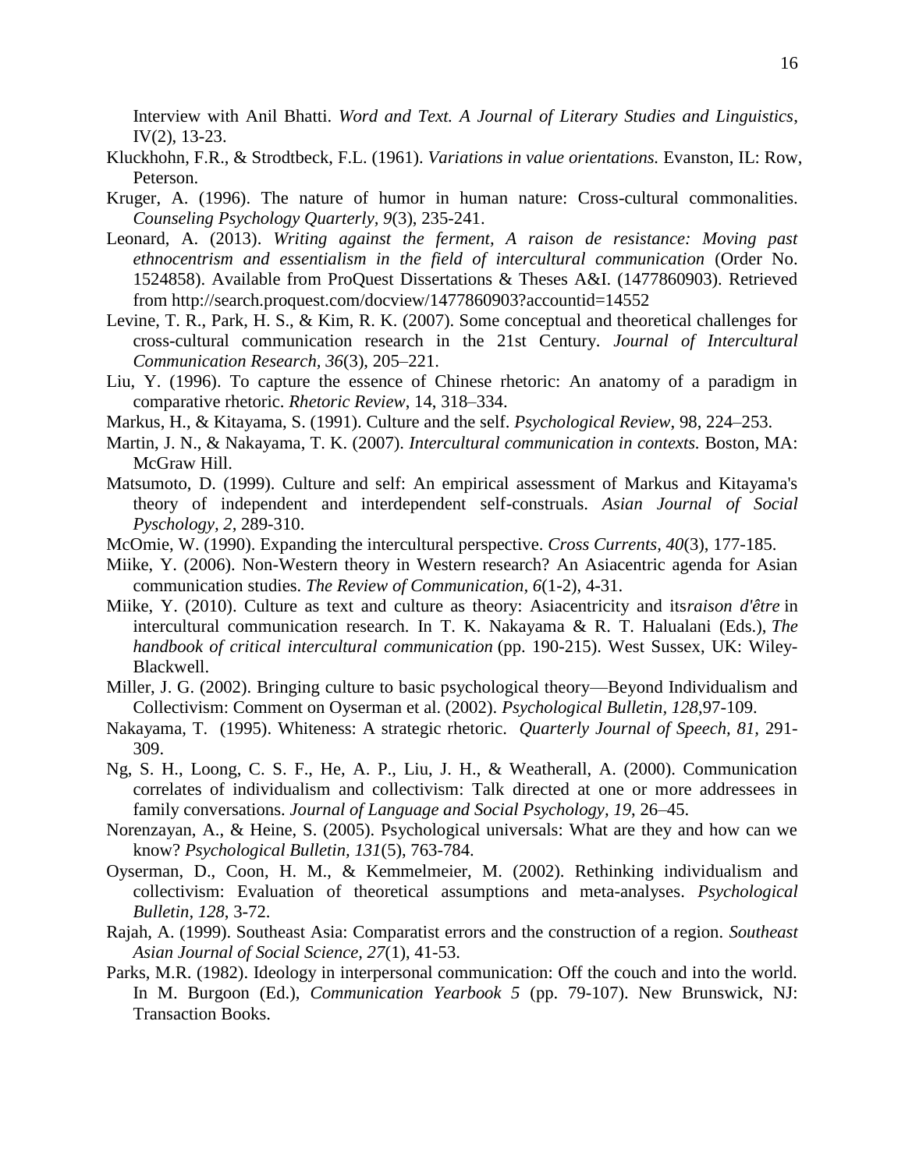Interview with Anil Bhatti. *Word and Text. A Journal of Literary Studies and Linguistics*, IV(2), 13-23.

- Kluckhohn, F.R., & Strodtbeck, F.L. (1961). *Variations in value orientations.* Evanston, IL: Row, Peterson.
- Kruger, A. (1996). The nature of humor in human nature: Cross-cultural commonalities. *Counseling Psychology Quarterly, 9*(3), 235-241.
- Leonard, A. (2013). *Writing against the ferment, A raison de resistance: Moving past ethnocentrism and essentialism in the field of intercultural communication* (Order No. 1524858). Available from ProQuest Dissertations & Theses A&I. (1477860903). Retrieved from http://search.proquest.com/docview/1477860903?accountid=14552
- Levine, T. R., Park, H. S., & Kim, R. K. (2007). Some conceptual and theoretical challenges for cross-cultural communication research in the 21st Century. *Journal of Intercultural Communication Research, 36*(3), 205–221.
- Liu, Y. (1996). To capture the essence of Chinese rhetoric: An anatomy of a paradigm in comparative rhetoric. *Rhetoric Review*, 14, 318–334.
- Markus, H., & Kitayama, S. (1991). Culture and the self. *Psychological Review*, 98, 224–253.
- Martin, J. N., & Nakayama, T. K. (2007). *Intercultural communication in contexts.* Boston, MA: McGraw Hill.
- Matsumoto, D. (1999). Culture and self: An empirical assessment of Markus and Kitayama's theory of independent and interdependent self-construals. *Asian Journal of Social Pyschology, 2,* 289-310.
- McOmie, W. (1990). Expanding the intercultural perspective. *Cross Currents, 40*(3), 177-185.
- Miike, Y. (2006). Non-Western theory in Western research? An Asiacentric agenda for Asian communication studies. *The Review of Communication, 6*(1-2), 4-31.
- Miike, Y. (2010). Culture as text and culture as theory: Asiacentricity and its*raison d'être* in intercultural communication research. In T. K. Nakayama & R. T. Halualani (Eds.), *The handbook of critical intercultural communication* (pp. 190-215). West Sussex, UK: Wiley-Blackwell.
- Miller, J. G. (2002). Bringing culture to basic psychological theory—Beyond Individualism and Collectivism: Comment on Oyserman et al. (2002). *Psychological Bulletin, 128*,97-109.
- Nakayama, T. (1995). Whiteness: A strategic rhetoric. *Quarterly Journal of Speech, 81,* 291- 309.
- Ng, S. H., Loong, C. S. F., He, A. P., Liu, J. H., & Weatherall, A. (2000). Communication correlates of individualism and collectivism: Talk directed at one or more addressees in family conversations. *Journal of Language and Social Psychology, 19*, 26–45.
- Norenzayan, A., & Heine, S. (2005). Psychological universals: What are they and how can we know? *Psychological Bulletin, 131*(5), 763-784.
- Oyserman, D., Coon, H. M., & Kemmelmeier, M. (2002). Rethinking individualism and collectivism: Evaluation of theoretical assumptions and meta-analyses. *Psychological Bulletin, 128*, 3-72.
- Rajah, A. (1999). Southeast Asia: Comparatist errors and the construction of a region. *Southeast Asian Journal of Social Science, 27*(1), 41-53.
- Parks, M.R. (1982). Ideology in interpersonal communication: Off the couch and into the world. In M. Burgoon (Ed.), *Communication Yearbook 5* (pp. 79-107). New Brunswick, NJ: Transaction Books.